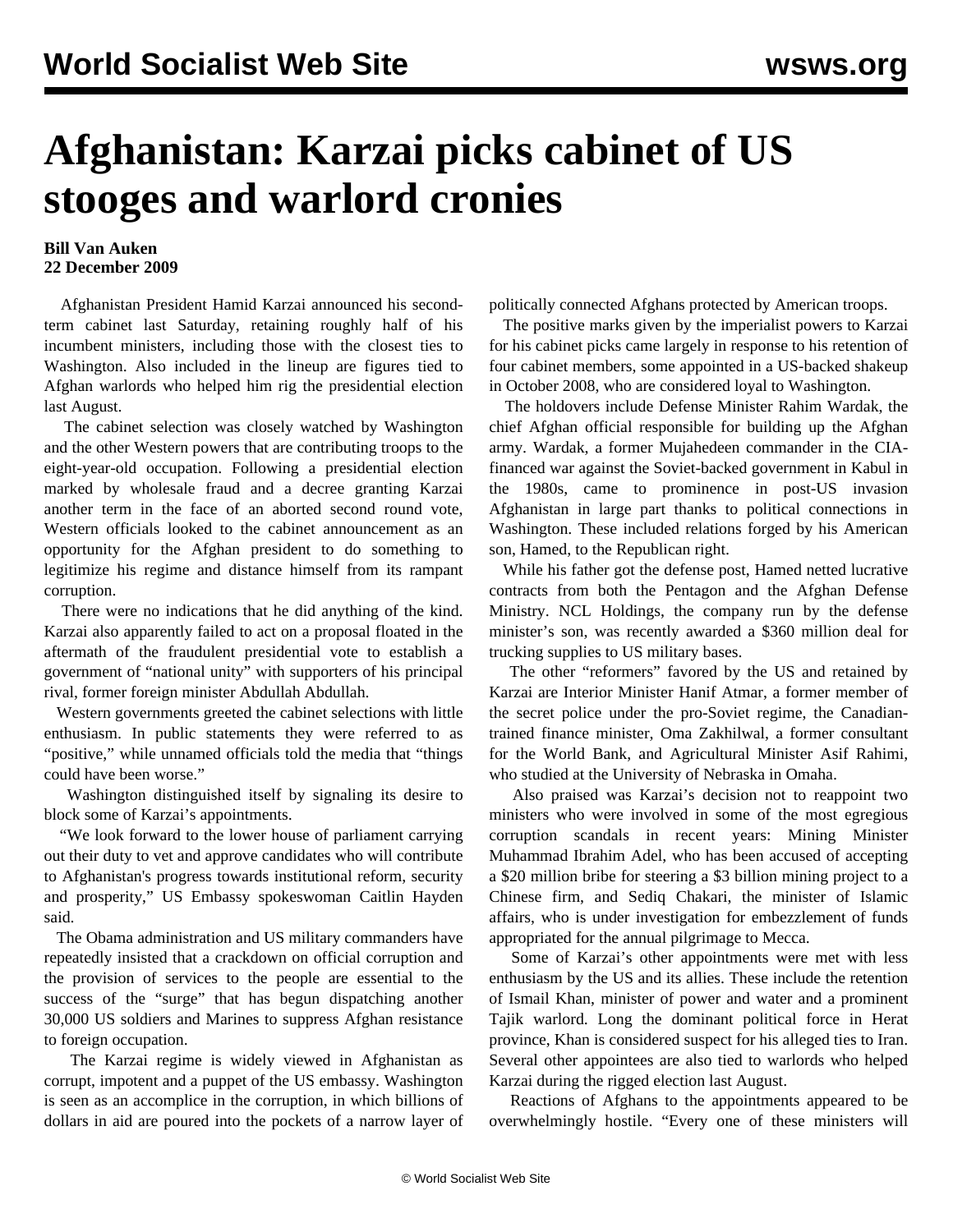## **Afghanistan: Karzai picks cabinet of US stooges and warlord cronies**

## **Bill Van Auken 22 December 2009**

 Afghanistan President Hamid Karzai announced his secondterm cabinet last Saturday, retaining roughly half of his incumbent ministers, including those with the closest ties to Washington. Also included in the lineup are figures tied to Afghan warlords who helped him rig the presidential election last August.

 The cabinet selection was closely watched by Washington and the other Western powers that are contributing troops to the eight-year-old occupation. Following a presidential election marked by wholesale fraud and a decree granting Karzai another term in the face of an aborted second round vote, Western officials looked to the cabinet announcement as an opportunity for the Afghan president to do something to legitimize his regime and distance himself from its rampant corruption.

 There were no indications that he did anything of the kind. Karzai also apparently failed to act on a proposal floated in the aftermath of the fraudulent presidential vote to establish a government of "national unity" with supporters of his principal rival, former foreign minister Abdullah Abdullah.

 Western governments greeted the cabinet selections with little enthusiasm. In public statements they were referred to as "positive," while unnamed officials told the media that "things could have been worse."

 Washington distinguished itself by signaling its desire to block some of Karzai's appointments.

 "We look forward to the lower house of parliament carrying out their duty to vet and approve candidates who will contribute to Afghanistan's progress towards institutional reform, security and prosperity," US Embassy spokeswoman Caitlin Hayden said.

 The Obama administration and US military commanders have repeatedly insisted that a crackdown on official corruption and the provision of services to the people are essential to the success of the "surge" that has begun dispatching another 30,000 US soldiers and Marines to suppress Afghan resistance to foreign occupation.

 The Karzai regime is widely viewed in Afghanistan as corrupt, impotent and a puppet of the US embassy. Washington is seen as an accomplice in the corruption, in which billions of dollars in aid are poured into the pockets of a narrow layer of politically connected Afghans protected by American troops.

 The positive marks given by the imperialist powers to Karzai for his cabinet picks came largely in response to his retention of four cabinet members, some appointed in a US-backed shakeup in October 2008, who are considered loyal to Washington.

 The holdovers include Defense Minister Rahim Wardak, the chief Afghan official responsible for building up the Afghan army. Wardak, a former Mujahedeen commander in the CIAfinanced war against the Soviet-backed government in Kabul in the 1980s, came to prominence in post-US invasion Afghanistan in large part thanks to political connections in Washington. These included relations forged by his American son, Hamed, to the Republican right.

 While his father got the defense post, Hamed netted lucrative contracts from both the Pentagon and the Afghan Defense Ministry. NCL Holdings, the company run by the defense minister's son, was recently awarded a \$360 million deal for trucking supplies to US military bases.

 The other "reformers" favored by the US and retained by Karzai are Interior Minister Hanif Atmar, a former member of the secret police under the pro-Soviet regime, the Canadiantrained finance minister, Oma Zakhilwal, a former consultant for the World Bank, and Agricultural Minister Asif Rahimi, who studied at the University of Nebraska in Omaha.

 Also praised was Karzai's decision not to reappoint two ministers who were involved in some of the most egregious corruption scandals in recent years: Mining Minister Muhammad Ibrahim Adel, who has been accused of accepting a \$20 million bribe for steering a \$3 billion mining project to a Chinese firm, and Sediq Chakari, the minister of Islamic affairs, who is under investigation for embezzlement of funds appropriated for the annual pilgrimage to Mecca.

 Some of Karzai's other appointments were met with less enthusiasm by the US and its allies. These include the retention of Ismail Khan, minister of power and water and a prominent Tajik warlord. Long the dominant political force in Herat province, Khan is considered suspect for his alleged ties to Iran. Several other appointees are also tied to warlords who helped Karzai during the rigged election last August.

 Reactions of Afghans to the appointments appeared to be overwhelmingly hostile. "Every one of these ministers will